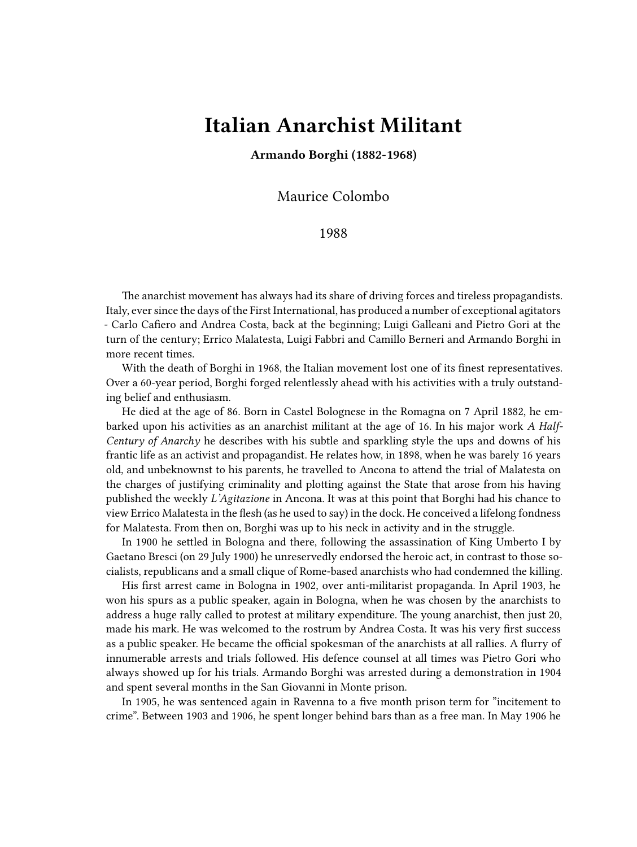## **Italian Anarchist Militant**

**Armando Borghi (1882-1968)**

Maurice Colombo

1988

The anarchist movement has always had its share of driving forces and tireless propagandists. Italy, ever since the days of the First International, has produced a number of exceptional agitators - Carlo Cafiero and Andrea Costa, back at the beginning; Luigi Galleani and Pietro Gori at the turn of the century; Errico Malatesta, Luigi Fabbri and Camillo Berneri and Armando Borghi in more recent times.

With the death of Borghi in 1968, the Italian movement lost one of its finest representatives. Over a 60-year period, Borghi forged relentlessly ahead with his activities with a truly outstanding belief and enthusiasm.

He died at the age of 86. Born in Castel Bolognese in the Romagna on 7 April 1882, he embarked upon his activities as an anarchist militant at the age of 16. In his major work *A Half-Century of Anarchy* he describes with his subtle and sparkling style the ups and downs of his frantic life as an activist and propagandist. He relates how, in 1898, when he was barely 16 years old, and unbeknownst to his parents, he travelled to Ancona to attend the trial of Malatesta on the charges of justifying criminality and plotting against the State that arose from his having published the weekly *L'Agitazione* in Ancona. It was at this point that Borghi had his chance to view Errico Malatesta in the flesh (as he used to say) in the dock. He conceived a lifelong fondness for Malatesta. From then on, Borghi was up to his neck in activity and in the struggle.

In 1900 he settled in Bologna and there, following the assassination of King Umberto I by Gaetano Bresci (on 29 July 1900) he unreservedly endorsed the heroic act, in contrast to those socialists, republicans and a small clique of Rome-based anarchists who had condemned the killing.

His first arrest came in Bologna in 1902, over anti-militarist propaganda. In April 1903, he won his spurs as a public speaker, again in Bologna, when he was chosen by the anarchists to address a huge rally called to protest at military expenditure. The young anarchist, then just 20, made his mark. He was welcomed to the rostrum by Andrea Costa. It was his very first success as a public speaker. He became the official spokesman of the anarchists at all rallies. A flurry of innumerable arrests and trials followed. His defence counsel at all times was Pietro Gori who always showed up for his trials. Armando Borghi was arrested during a demonstration in 1904 and spent several months in the San Giovanni in Monte prison.

In 1905, he was sentenced again in Ravenna to a five month prison term for "incitement to crime". Between 1903 and 1906, he spent longer behind bars than as a free man. In May 1906 he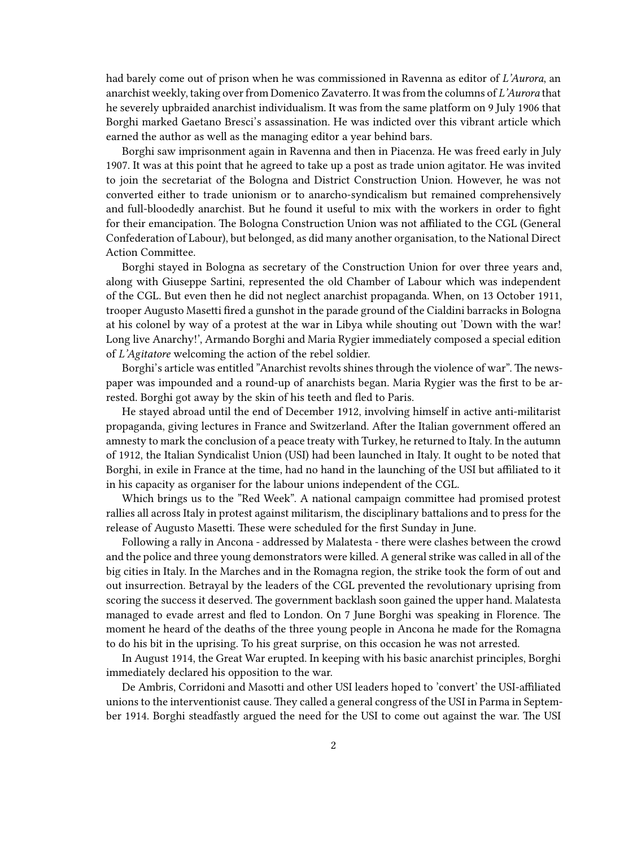had barely come out of prison when he was commissioned in Ravenna as editor of *L'Aurora*, an anarchist weekly, taking over from Domenico Zavaterro. It was from the columns of *L'Aurora* that he severely upbraided anarchist individualism. It was from the same platform on 9 July 1906 that Borghi marked Gaetano Bresci's assassination. He was indicted over this vibrant article which earned the author as well as the managing editor a year behind bars.

Borghi saw imprisonment again in Ravenna and then in Piacenza. He was freed early in July 1907. It was at this point that he agreed to take up a post as trade union agitator. He was invited to join the secretariat of the Bologna and District Construction Union. However, he was not converted either to trade unionism or to anarcho-syndicalism but remained comprehensively and full-bloodedly anarchist. But he found it useful to mix with the workers in order to fight for their emancipation. The Bologna Construction Union was not affiliated to the CGL (General Confederation of Labour), but belonged, as did many another organisation, to the National Direct Action Committee.

Borghi stayed in Bologna as secretary of the Construction Union for over three years and, along with Giuseppe Sartini, represented the old Chamber of Labour which was independent of the CGL. But even then he did not neglect anarchist propaganda. When, on 13 October 1911, trooper Augusto Masetti fired a gunshot in the parade ground of the Cialdini barracks in Bologna at his colonel by way of a protest at the war in Libya while shouting out 'Down with the war! Long live Anarchy!', Armando Borghi and Maria Rygier immediately composed a special edition of *L'Agitatore* welcoming the action of the rebel soldier.

Borghi's article was entitled "Anarchist revolts shines through the violence of war". The newspaper was impounded and a round-up of anarchists began. Maria Rygier was the first to be arrested. Borghi got away by the skin of his teeth and fled to Paris.

He stayed abroad until the end of December 1912, involving himself in active anti-militarist propaganda, giving lectures in France and Switzerland. After the Italian government offered an amnesty to mark the conclusion of a peace treaty with Turkey, he returned to Italy. In the autumn of 1912, the Italian Syndicalist Union (USI) had been launched in Italy. It ought to be noted that Borghi, in exile in France at the time, had no hand in the launching of the USI but affiliated to it in his capacity as organiser for the labour unions independent of the CGL.

Which brings us to the "Red Week". A national campaign committee had promised protest rallies all across Italy in protest against militarism, the disciplinary battalions and to press for the release of Augusto Masetti. These were scheduled for the first Sunday in June.

Following a rally in Ancona - addressed by Malatesta - there were clashes between the crowd and the police and three young demonstrators were killed. A general strike was called in all of the big cities in Italy. In the Marches and in the Romagna region, the strike took the form of out and out insurrection. Betrayal by the leaders of the CGL prevented the revolutionary uprising from scoring the success it deserved. The government backlash soon gained the upper hand. Malatesta managed to evade arrest and fled to London. On 7 June Borghi was speaking in Florence. The moment he heard of the deaths of the three young people in Ancona he made for the Romagna to do his bit in the uprising. To his great surprise, on this occasion he was not arrested.

In August 1914, the Great War erupted. In keeping with his basic anarchist principles, Borghi immediately declared his opposition to the war.

De Ambris, Corridoni and Masotti and other USI leaders hoped to 'convert' the USI-affiliated unions to the interventionist cause. They called a general congress of the USI in Parma in September 1914. Borghi steadfastly argued the need for the USI to come out against the war. The USI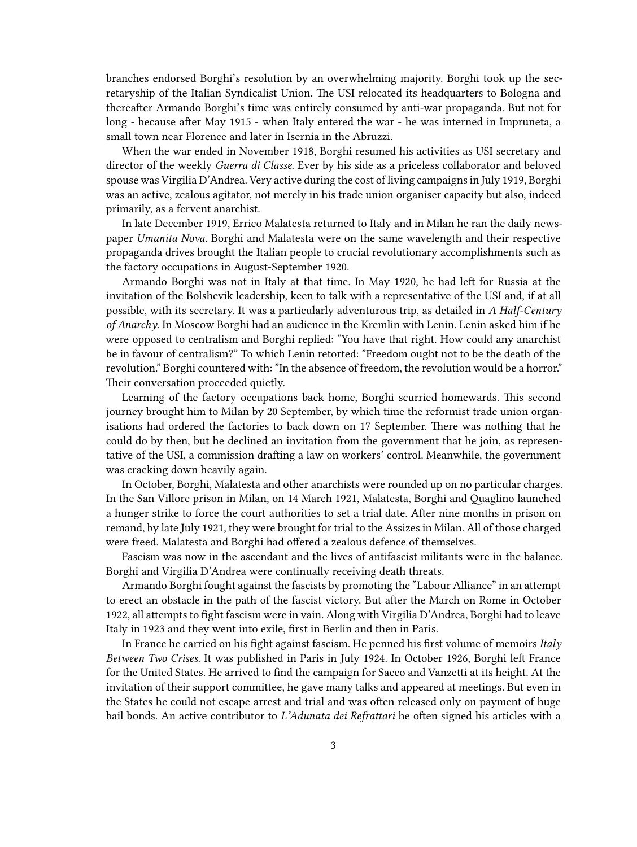branches endorsed Borghi's resolution by an overwhelming majority. Borghi took up the secretaryship of the Italian Syndicalist Union. The USI relocated its headquarters to Bologna and thereafter Armando Borghi's time was entirely consumed by anti-war propaganda. But not for long - because after May 1915 - when Italy entered the war - he was interned in Impruneta, a small town near Florence and later in Isernia in the Abruzzi.

When the war ended in November 1918, Borghi resumed his activities as USI secretary and director of the weekly *Guerra di Classe*. Ever by his side as a priceless collaborator and beloved spouse was Virgilia D'Andrea. Very active during the cost of living campaigns in July 1919, Borghi was an active, zealous agitator, not merely in his trade union organiser capacity but also, indeed primarily, as a fervent anarchist.

In late December 1919, Errico Malatesta returned to Italy and in Milan he ran the daily newspaper *Umanita Nova*. Borghi and Malatesta were on the same wavelength and their respective propaganda drives brought the Italian people to crucial revolutionary accomplishments such as the factory occupations in August-September 1920.

Armando Borghi was not in Italy at that time. In May 1920, he had left for Russia at the invitation of the Bolshevik leadership, keen to talk with a representative of the USI and, if at all possible, with its secretary. It was a particularly adventurous trip, as detailed in *A Half-Century of Anarchy*. In Moscow Borghi had an audience in the Kremlin with Lenin. Lenin asked him if he were opposed to centralism and Borghi replied: "You have that right. How could any anarchist be in favour of centralism?" To which Lenin retorted: "Freedom ought not to be the death of the revolution." Borghi countered with: "In the absence of freedom, the revolution would be a horror." Their conversation proceeded quietly.

Learning of the factory occupations back home, Borghi scurried homewards. This second journey brought him to Milan by 20 September, by which time the reformist trade union organisations had ordered the factories to back down on 17 September. There was nothing that he could do by then, but he declined an invitation from the government that he join, as representative of the USI, a commission drafting a law on workers' control. Meanwhile, the government was cracking down heavily again.

In October, Borghi, Malatesta and other anarchists were rounded up on no particular charges. In the San Villore prison in Milan, on 14 March 1921, Malatesta, Borghi and Quaglino launched a hunger strike to force the court authorities to set a trial date. After nine months in prison on remand, by late July 1921, they were brought for trial to the Assizes in Milan. All of those charged were freed. Malatesta and Borghi had offered a zealous defence of themselves.

Fascism was now in the ascendant and the lives of antifascist militants were in the balance. Borghi and Virgilia D'Andrea were continually receiving death threats.

Armando Borghi fought against the fascists by promoting the "Labour Alliance" in an attempt to erect an obstacle in the path of the fascist victory. But after the March on Rome in October 1922, all attempts to fight fascism were in vain. Along with Virgilia D'Andrea, Borghi had to leave Italy in 1923 and they went into exile, first in Berlin and then in Paris.

In France he carried on his fight against fascism. He penned his first volume of memoirs *Italy Between Two Crises*. It was published in Paris in July 1924. In October 1926, Borghi left France for the United States. He arrived to find the campaign for Sacco and Vanzetti at its height. At the invitation of their support committee, he gave many talks and appeared at meetings. But even in the States he could not escape arrest and trial and was often released only on payment of huge bail bonds. An active contributor to *L'Adunata dei Refrattari* he often signed his articles with a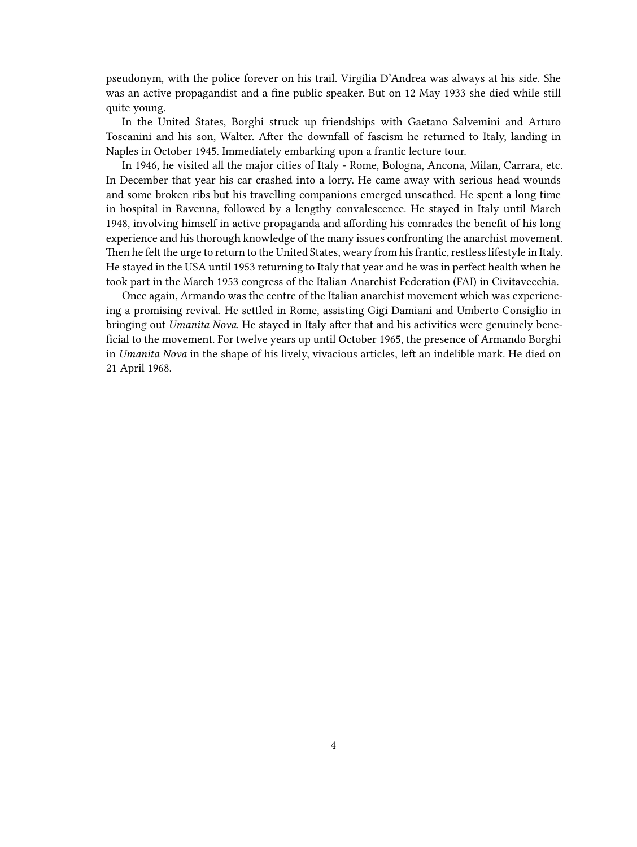pseudonym, with the police forever on his trail. Virgilia D'Andrea was always at his side. She was an active propagandist and a fine public speaker. But on 12 May 1933 she died while still quite young.

In the United States, Borghi struck up friendships with Gaetano Salvemini and Arturo Toscanini and his son, Walter. After the downfall of fascism he returned to Italy, landing in Naples in October 1945. Immediately embarking upon a frantic lecture tour.

In 1946, he visited all the major cities of Italy - Rome, Bologna, Ancona, Milan, Carrara, etc. In December that year his car crashed into a lorry. He came away with serious head wounds and some broken ribs but his travelling companions emerged unscathed. He spent a long time in hospital in Ravenna, followed by a lengthy convalescence. He stayed in Italy until March 1948, involving himself in active propaganda and affording his comrades the benefit of his long experience and his thorough knowledge of the many issues confronting the anarchist movement. Then he felt the urge to return to the United States, weary from his frantic, restless lifestyle in Italy. He stayed in the USA until 1953 returning to Italy that year and he was in perfect health when he took part in the March 1953 congress of the Italian Anarchist Federation (FAI) in Civitavecchia.

Once again, Armando was the centre of the Italian anarchist movement which was experiencing a promising revival. He settled in Rome, assisting Gigi Damiani and Umberto Consiglio in bringing out *Umanita Nova*. He stayed in Italy after that and his activities were genuinely beneficial to the movement. For twelve years up until October 1965, the presence of Armando Borghi in *Umanita Nova* in the shape of his lively, vivacious articles, left an indelible mark. He died on 21 April 1968.